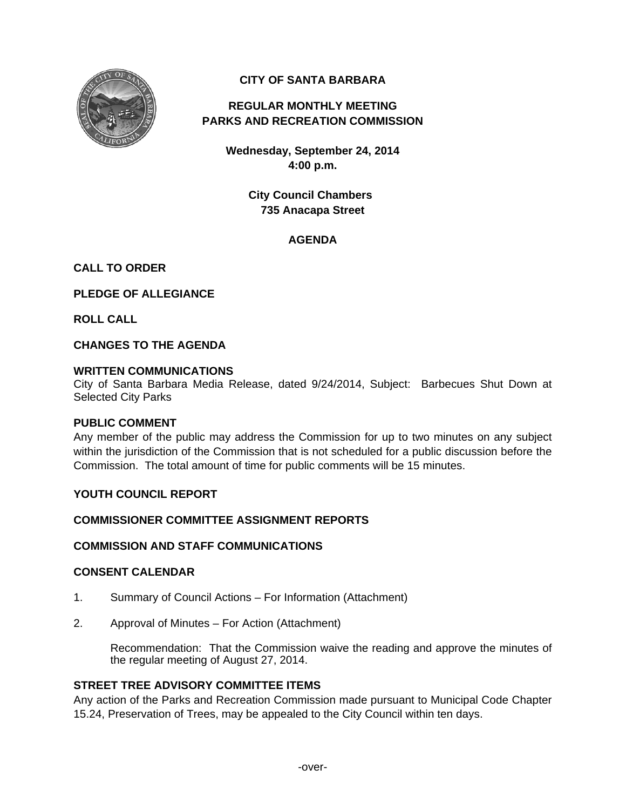

# **CITY OF SANTA BARBARA**

# **REGULAR MONTHLY MEETING PARKS AND RECREATION COMMISSION**

**Wednesday, September 24, 2014 4:00 p.m.** 

> **City Council Chambers 735 Anacapa Street**

## **AGENDA**

## **CALL TO ORDER**

**PLEDGE OF ALLEGIANCE** 

**ROLL CALL** 

**CHANGES TO THE AGENDA** 

## **WRITTEN COMMUNICATIONS**

City of Santa Barbara Media Release, dated 9/24/2014, Subject: Barbecues Shut Down at Selected City Parks

#### **PUBLIC COMMENT**

Any member of the public may address the Commission for up to two minutes on any subject within the jurisdiction of the Commission that is not scheduled for a public discussion before the Commission. The total amount of time for public comments will be 15 minutes.

## **YOUTH COUNCIL REPORT**

# **COMMISSIONER COMMITTEE ASSIGNMENT REPORTS**

## **COMMISSION AND STAFF COMMUNICATIONS**

#### **CONSENT CALENDAR**

- 1. Summary of Council Actions For Information (Attachment)
- 2. Approval of Minutes For Action (Attachment)

 Recommendation: That the Commission waive the reading and approve the minutes of the regular meeting of August 27, 2014.

## **STREET TREE ADVISORY COMMITTEE ITEMS**

Any action of the Parks and Recreation Commission made pursuant to Municipal Code Chapter 15.24, Preservation of Trees, may be appealed to the City Council within ten days.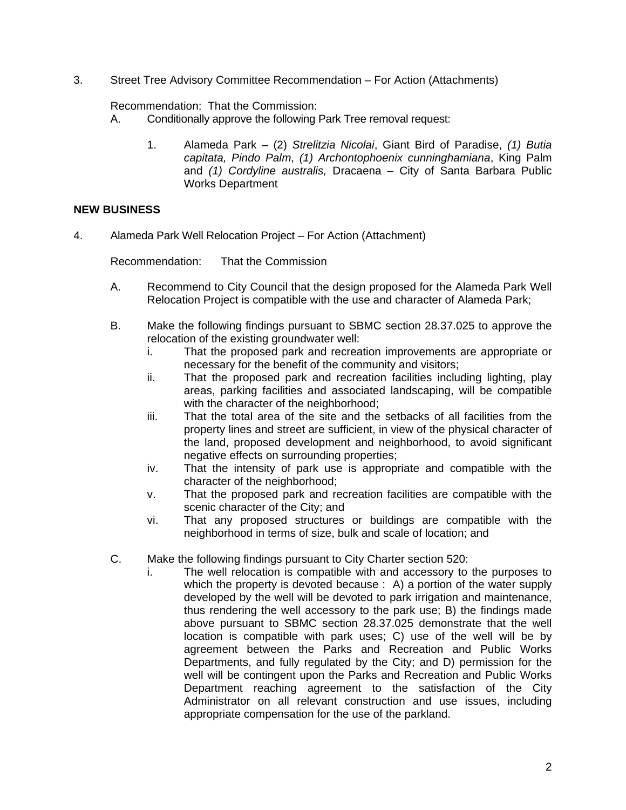3. Street Tree Advisory Committee Recommendation – For Action (Attachments)

Recommendation: That the Commission:

- A. Conditionally approve the following Park Tree removal request:
	- 1. Alameda Park (2) *Strelitzia Nicolai*, Giant Bird of Paradise, *(1) Butia capitata, Pindo Palm*, *(1) Archontophoenix cunninghamiana*, King Palm and *(1) Cordyline australis,* Dracaena – City of Santa Barbara Public Works Department

## **NEW BUSINESS**

4. Alameda Park Well Relocation Project – For Action (Attachment)

Recommendation: That the Commission

- A. Recommend to City Council that the design proposed for the Alameda Park Well Relocation Project is compatible with the use and character of Alameda Park;
- B. Make the following findings pursuant to SBMC section 28.37.025 to approve the relocation of the existing groundwater well:
	- i. That the proposed park and recreation improvements are appropriate or necessary for the benefit of the community and visitors;
	- ii. That the proposed park and recreation facilities including lighting, play areas, parking facilities and associated landscaping, will be compatible with the character of the neighborhood;
	- iii. That the total area of the site and the setbacks of all facilities from the property lines and street are sufficient, in view of the physical character of the land, proposed development and neighborhood, to avoid significant negative effects on surrounding properties;
	- iv. That the intensity of park use is appropriate and compatible with the character of the neighborhood;
	- v. That the proposed park and recreation facilities are compatible with the scenic character of the City; and
	- vi. That any proposed structures or buildings are compatible with the neighborhood in terms of size, bulk and scale of location; and
- C. Make the following findings pursuant to City Charter section 520:
	- i. The well relocation is compatible with and accessory to the purposes to which the property is devoted because : A) a portion of the water supply developed by the well will be devoted to park irrigation and maintenance, thus rendering the well accessory to the park use; B) the findings made above pursuant to SBMC section 28.37.025 demonstrate that the well location is compatible with park uses; C) use of the well will be by agreement between the Parks and Recreation and Public Works Departments, and fully regulated by the City; and D) permission for the well will be contingent upon the Parks and Recreation and Public Works Department reaching agreement to the satisfaction of the City Administrator on all relevant construction and use issues, including appropriate compensation for the use of the parkland.